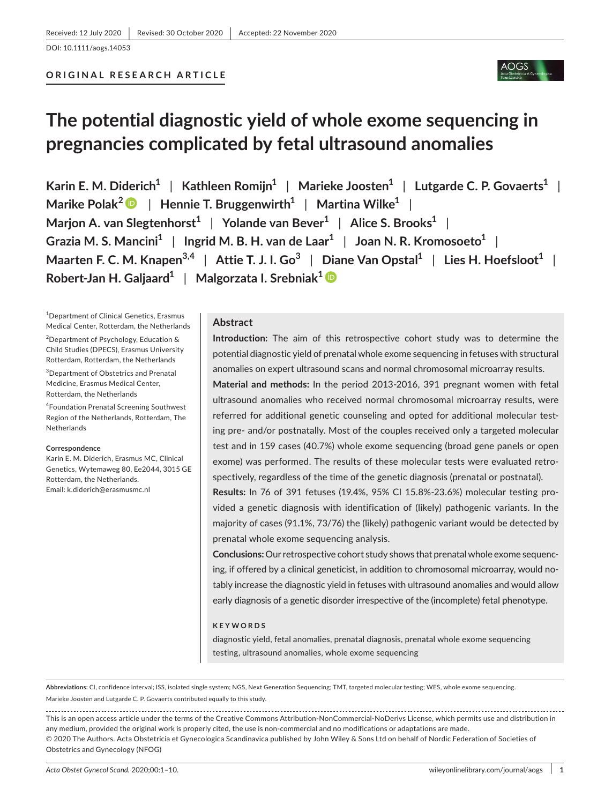### **ORIGINAL RESEARCH ARTICLE**

# **The potential diagnostic yield of whole exome sequencing in pregnancies complicated by fetal ultrasound anomalies**

**Karin E. M. Diderich1** | **Kathleen Romijn1** | **Marieke Joosten1** | **Lutgarde C. P. Govaerts1** | **Marike Polak<sup>2</sup>** | **Hennie T. Bruggenwirth1** | **Martina Wilke1** | **Marjon A.** van Slegtenhorst<sup>1</sup> | Yolande van Bever<sup>1</sup> | Alice S. Brooks<sup>1</sup> | **Grazia M. S. Mancini1** | **Ingrid M. B. H. van de Laar1** | **Joan N. R. Kromosoeto1** | **Maarten F. C. M. Knapen3,4** | **Attie T. J. I. Go<sup>3</sup>** | **Diane Van Opstal1** | **Lies H. Hoefsloot1** | **Robert-Jan H. Galjaard1** | **Malgorzata I. Srebniak[1](https://orcid.org/0000-0003-3429-6156)**

1 Department of Clinical Genetics, Erasmus Medical Center, Rotterdam, the Netherlands

2 Department of Psychology, Education & Child Studies (DPECS), Erasmus University Rotterdam, Rotterdam, the Netherlands

3 Department of Obstetrics and Prenatal Medicine, Erasmus Medical Center, Rotterdam, the Netherlands

4 Foundation Prenatal Screening Southwest Region of the Netherlands, Rotterdam, The Netherlands

#### **Correspondence**

Karin E. M. Diderich, Erasmus MC, Clinical Genetics, Wytemaweg 80, Ee2044, 3015 GE Rotterdam, the Netherlands. Email: [k.diderich@erasmusmc.nl](mailto:k.diderich@erasmusmc.nl)

#### **Abstract**

**Introduction:** The aim of this retrospective cohort study was to determine the potential diagnostic yield of prenatal whole exome sequencing in fetuses with structural anomalies on expert ultrasound scans and normal chromosomal microarray results.

**Material and methods:** In the period 2013-2016, 391 pregnant women with fetal ultrasound anomalies who received normal chromosomal microarray results, were referred for additional genetic counseling and opted for additional molecular testing pre- and/or postnatally. Most of the couples received only a targeted molecular test and in 159 cases (40.7%) whole exome sequencing (broad gene panels or open exome) was performed. The results of these molecular tests were evaluated retrospectively, regardless of the time of the genetic diagnosis (prenatal or postnatal).

**Results:** In 76 of 391 fetuses (19.4%, 95% CI 15.8%-23.6%) molecular testing provided a genetic diagnosis with identification of (likely) pathogenic variants. In the majority of cases (91.1%, 73/76) the (likely) pathogenic variant would be detected by prenatal whole exome sequencing analysis.

**Conclusions:** Our retrospective cohort study shows that prenatal whole exome sequencing, if offered by a clinical geneticist, in addition to chromosomal microarray, would notably increase the diagnostic yield in fetuses with ultrasound anomalies and would allow early diagnosis of a genetic disorder irrespective of the (incomplete) fetal phenotype.

#### **KEYWORDS**

diagnostic yield, fetal anomalies, prenatal diagnosis, prenatal whole exome sequencing testing, ultrasound anomalies, whole exome sequencing

Marieke Joosten and Lutgarde C. P. Govaerts contributed equally to this study. **Abbreviations:** CI, confidence interval; ISS, isolated single system; NGS, Next Generation Sequencing; TMT, targeted molecular testing; WES, whole exome sequencing.

This is an open access article under the terms of the [Creative Commons Attribution-NonCommercial-NoDerivs](http://creativecommons.org/licenses/by-nc-nd/4.0/) License, which permits use and distribution in any medium, provided the original work is properly cited, the use is non-commercial and no modifications or adaptations are made. © 2020 The Authors. Acta Obstetricia et Gynecologica Scandinavica published by John Wiley & Sons Ltd on behalf of Nordic Federation of Societies of Obstetrics and Gynecology (NFOG)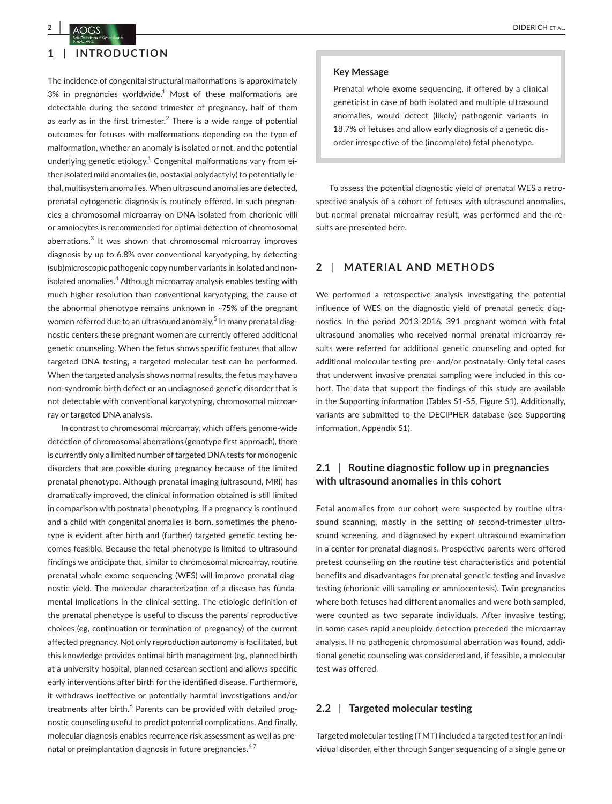### **1** | **INTRODUCTION**

The incidence of congenital structural malformations is approximately  $3\%$  in pregnancies worldwide.<sup>1</sup> Most of these malformations are detectable during the second trimester of pregnancy, half of them as early as in the first trimester.<sup>2</sup> There is a wide range of potential outcomes for fetuses with malformations depending on the type of malformation, whether an anomaly is isolated or not, and the potential underlying genetic etiology.<sup>1</sup> Congenital malformations vary from either isolated mild anomalies (ie, postaxial polydactyly) to potentially lethal, multisystem anomalies. When ultrasound anomalies are detected, prenatal cytogenetic diagnosis is routinely offered. In such pregnancies a chromosomal microarray on DNA isolated from chorionic villi or amniocytes is recommended for optimal detection of chromosomal aberrations.<sup>3</sup> It was shown that chromosomal microarray improves diagnosis by up to 6.8% over conventional karyotyping, by detecting (sub)microscopic pathogenic copy number variants in isolated and nonisolated anomalies.<sup>4</sup> Although microarray analysis enables testing with much higher resolution than conventional karyotyping, the cause of the abnormal phenotype remains unknown in ~75% of the pregnant women referred due to an ultrasound anomaly.<sup>5</sup> In many prenatal diagnostic centers these pregnant women are currently offered additional genetic counseling. When the fetus shows specific features that allow targeted DNA testing, a targeted molecular test can be performed. When the targeted analysis shows normal results, the fetus may have a non-syndromic birth defect or an undiagnosed genetic disorder that is not detectable with conventional karyotyping, chromosomal microarray or targeted DNA analysis.

In contrast to chromosomal microarray, which offers genome-wide detection of chromosomal aberrations (genotype first approach), there is currently only a limited number of targeted DNA tests for monogenic disorders that are possible during pregnancy because of the limited prenatal phenotype. Although prenatal imaging (ultrasound, MRI) has dramatically improved, the clinical information obtained is still limited in comparison with postnatal phenotyping. If a pregnancy is continued and a child with congenital anomalies is born, sometimes the phenotype is evident after birth and (further) targeted genetic testing becomes feasible. Because the fetal phenotype is limited to ultrasound findings we anticipate that, similar to chromosomal microarray, routine prenatal whole exome sequencing (WES) will improve prenatal diagnostic yield. The molecular characterization of a disease has fundamental implications in the clinical setting. The etiologic definition of the prenatal phenotype is useful to discuss the parents' reproductive choices (eg, continuation or termination of pregnancy) of the current affected pregnancy. Not only reproduction autonomy is facilitated, but this knowledge provides optimal birth management (eg, planned birth at a university hospital, planned cesarean section) and allows specific early interventions after birth for the identified disease. Furthermore, it withdraws ineffective or potentially harmful investigations and/or treatments after birth.<sup>6</sup> Parents can be provided with detailed prognostic counseling useful to predict potential complications. And finally, molecular diagnosis enables recurrence risk assessment as well as prenatal or preimplantation diagnosis in future pregnancies.<sup>6,7</sup>

#### **Key Message**

Prenatal whole exome sequencing, if offered by a clinical geneticist in case of both isolated and multiple ultrasound anomalies, would detect (likely) pathogenic variants in 18.7% of fetuses and allow early diagnosis of a genetic disorder irrespective of the (incomplete) fetal phenotype.

To assess the potential diagnostic yield of prenatal WES a retrospective analysis of a cohort of fetuses with ultrasound anomalies, but normal prenatal microarray result, was performed and the results are presented here.

#### **2** | **MATERIAL AND METHODS**

We performed a retrospective analysis investigating the potential influence of WES on the diagnostic yield of prenatal genetic diagnostics. In the period 2013-2016, 391 pregnant women with fetal ultrasound anomalies who received normal prenatal microarray results were referred for additional genetic counseling and opted for additional molecular testing pre- and/or postnatally. Only fetal cases that underwent invasive prenatal sampling were included in this cohort. The data that support the findings of this study are available in the Supporting information (Tables S1-S5, Figure S1). Additionally, variants are submitted to the DECIPHER database (see Supporting information, Appendix S1).

### **2.1** | **Routine diagnostic follow up in pregnancies with ultrasound anomalies in this cohort**

Fetal anomalies from our cohort were suspected by routine ultrasound scanning, mostly in the setting of second-trimester ultrasound screening, and diagnosed by expert ultrasound examination in a center for prenatal diagnosis. Prospective parents were offered pretest counseling on the routine test characteristics and potential benefits and disadvantages for prenatal genetic testing and invasive testing (chorionic villi sampling or amniocentesis). Twin pregnancies where both fetuses had different anomalies and were both sampled, were counted as two separate individuals. After invasive testing, in some cases rapid aneuploidy detection preceded the microarray analysis. If no pathogenic chromosomal aberration was found, additional genetic counseling was considered and, if feasible, a molecular test was offered.

#### **2.2** | **Targeted molecular testing**

Targeted molecular testing (TMT) included a targeted test for an individual disorder, either through Sanger sequencing of a single gene or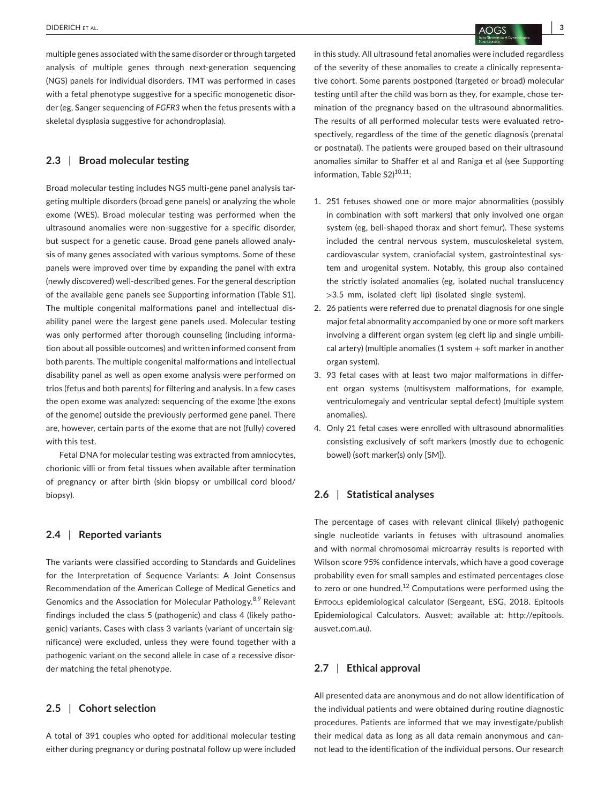multiple genes associated with the same disorder or through targeted analysis of multiple genes through next-generation sequencing (NGS) panels for individual disorders. TMT was performed in cases with a fetal phenotype suggestive for a specific monogenetic disorder (eg, Sanger sequencing of *FGFR3* when the fetus presents with a skeletal dysplasia suggestive for achondroplasia).

### **2.3** | **Broad molecular testing**

Broad molecular testing includes NGS multi-gene panel analysis targeting multiple disorders (broad gene panels) or analyzing the whole exome (WES). Broad molecular testing was performed when the ultrasound anomalies were non-suggestive for a specific disorder, but suspect for a genetic cause. Broad gene panels allowed analysis of many genes associated with various symptoms. Some of these panels were improved over time by expanding the panel with extra (newly discovered) well-described genes. For the general description of the available gene panels see Supporting information (Table S1). The multiple congenital malformations panel and intellectual disability panel were the largest gene panels used. Molecular testing was only performed after thorough counseling (including information about all possible outcomes) and written informed consent from both parents. The multiple congenital malformations and intellectual disability panel as well as open exome analysis were performed on trios (fetus and both parents) for filtering and analysis. In a few cases the open exome was analyzed: sequencing of the exome (the exons of the genome) outside the previously performed gene panel. There are, however, certain parts of the exome that are not (fully) covered with this test.

Fetal DNA for molecular testing was extracted from amniocytes, chorionic villi or from fetal tissues when available after termination of pregnancy or after birth (skin biopsy or umbilical cord blood/ biopsy).

### **2.4** | **Reported variants**

The variants were classified according to Standards and Guidelines for the Interpretation of Sequence Variants: A Joint Consensus Recommendation of the American College of Medical Genetics and Genomics and the Association for Molecular Pathology.<sup>8,9</sup> Relevant findings included the class 5 (pathogenic) and class 4 (likely pathogenic) variants. Cases with class 3 variants (variant of uncertain significance) were excluded, unless they were found together with a pathogenic variant on the second allele in case of a recessive disorder matching the fetal phenotype.

### **2.5** | **Cohort selection**

A total of 391 couples who opted for additional molecular testing either during pregnancy or during postnatal follow up were included in this study. All ultrasound fetal anomalies were included regardless of the severity of these anomalies to create a clinically representative cohort. Some parents postponed (targeted or broad) molecular testing until after the child was born as they, for example, chose termination of the pregnancy based on the ultrasound abnormalities. The results of all performed molecular tests were evaluated retrospectively, regardless of the time of the genetic diagnosis (prenatal or postnatal). The patients were grouped based on their ultrasound anomalies similar to Shaffer et al and Raniga et al (see Supporting information. Table  $S2)^{10,11}$ :

- 1. 251 fetuses showed one or more major abnormalities (possibly in combination with soft markers) that only involved one organ system (eg, bell-shaped thorax and short femur). These systems included the central nervous system, musculoskeletal system, cardiovascular system, craniofacial system, gastrointestinal system and urogenital system. Notably, this group also contained the strictly isolated anomalies (eg, isolated nuchal translucency >3.5 mm, isolated cleft lip) (isolated single system).
- 2. 26 patients were referred due to prenatal diagnosis for one single major fetal abnormality accompanied by one or more soft markers involving a different organ system (eg cleft lip and single umbilical artery) (multiple anomalies (1 system + soft marker in another organ system).
- 3. 93 fetal cases with at least two major malformations in different organ systems (multisystem malformations, for example, ventriculomegaly and ventricular septal defect) (multiple system anomalies).
- 4. Only 21 fetal cases were enrolled with ultrasound abnormalities consisting exclusively of soft markers (mostly due to echogenic bowel) (soft marker(s) only [SM]).

### **2.6** | **Statistical analyses**

The percentage of cases with relevant clinical (likely) pathogenic single nucleotide variants in fetuses with ultrasound anomalies and with normal chromosomal microarray results is reported with Wilson score 95% confidence intervals, which have a good coverage probability even for small samples and estimated percentages close to zero or one hundred.<sup>12</sup> Computations were performed using the Epitools epidemiological calculator (Sergeant, ESG, 2018. Epitools Epidemiological Calculators. Ausvet; available at: [http://epitools.](http://epitools.ausvet.com.au) [ausvet.com.au](http://epitools.ausvet.com.au)).

#### **2.7** | **Ethical approval**

All presented data are anonymous and do not allow identification of the individual patients and were obtained during routine diagnostic procedures. Patients are informed that we may investigate/publish their medical data as long as all data remain anonymous and cannot lead to the identification of the individual persons. Our research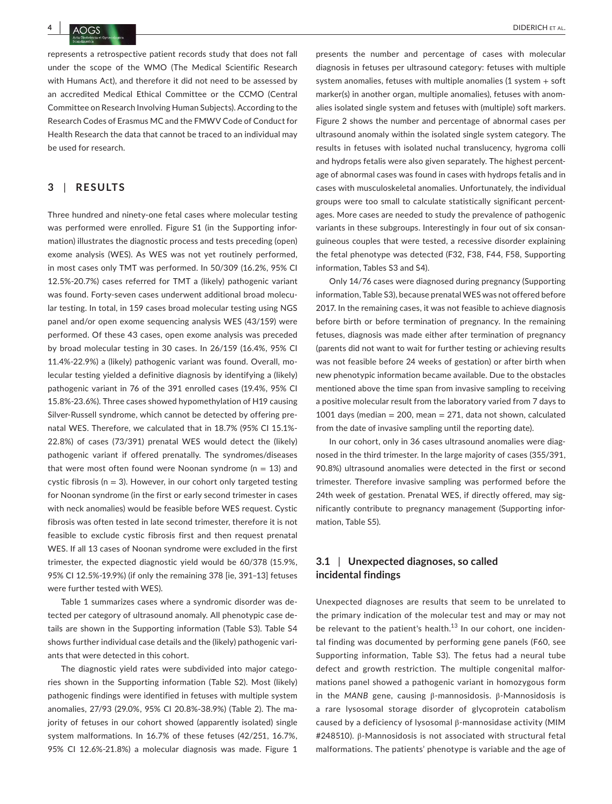represents a retrospective patient records study that does not fall under the scope of the WMO (The Medical Scientific Research with Humans Act), and therefore it did not need to be assessed by an accredited Medical Ethical Committee or the CCMO (Central Committee on Research Involving Human Subjects). According to the Research Codes of Erasmus MC and the FMWV Code of Conduct for Health Research the data that cannot be traced to an individual may be used for research.

#### **3** | **RESULTS**

Three hundred and ninety-one fetal cases where molecular testing was performed were enrolled. Figure S1 (in the Supporting information) illustrates the diagnostic process and tests preceding (open) exome analysis (WES). As WES was not yet routinely performed, in most cases only TMT was performed. In 50/309 (16.2%, 95% CI 12.5%-20.7%) cases referred for TMT a (likely) pathogenic variant was found. Forty-seven cases underwent additional broad molecular testing. In total, in 159 cases broad molecular testing using NGS panel and/or open exome sequencing analysis WES (43/159) were performed. Of these 43 cases, open exome analysis was preceded by broad molecular testing in 30 cases. In 26/159 (16.4%, 95% CI 11.4%-22.9%) a (likely) pathogenic variant was found. Overall, molecular testing yielded a definitive diagnosis by identifying a (likely) pathogenic variant in 76 of the 391 enrolled cases (19.4%, 95% CI 15.8%-23.6%). Three cases showed hypomethylation of H19 causing Silver-Russell syndrome, which cannot be detected by offering prenatal WES. Therefore, we calculated that in 18.7% (95% CI 15.1%- 22.8%) of cases (73/391) prenatal WES would detect the (likely) pathogenic variant if offered prenatally. The syndromes/diseases that were most often found were Noonan syndrome ( $n = 13$ ) and cystic fibrosis ( $n = 3$ ). However, in our cohort only targeted testing for Noonan syndrome (in the first or early second trimester in cases with neck anomalies) would be feasible before WES request. Cystic fibrosis was often tested in late second trimester, therefore it is not feasible to exclude cystic fibrosis first and then request prenatal WES. If all 13 cases of Noonan syndrome were excluded in the first trimester, the expected diagnostic yield would be 60/378 (15.9%, 95% CI 12.5%-19.9%) (if only the remaining 378 [ie, 391–13] fetuses were further tested with WES).

Table 1 summarizes cases where a syndromic disorder was detected per category of ultrasound anomaly. All phenotypic case details are shown in the Supporting information (Table S3). Table S4 shows further individual case details and the (likely) pathogenic variants that were detected in this cohort.

The diagnostic yield rates were subdivided into major categories shown in the Supporting information (Table S2). Most (likely) pathogenic findings were identified in fetuses with multiple system anomalies, 27/93 (29.0%, 95% CI 20.8%-38.9%) (Table 2). The majority of fetuses in our cohort showed (apparently isolated) single system malformations. In 16.7% of these fetuses (42/251, 16.7%, 95% CI 12.6%-21.8%) a molecular diagnosis was made. Figure 1

presents the number and percentage of cases with molecular diagnosis in fetuses per ultrasound category: fetuses with multiple system anomalies, fetuses with multiple anomalies  $(1$  system  $+$  soft marker(s) in another organ, multiple anomalies), fetuses with anomalies isolated single system and fetuses with (multiple) soft markers. Figure 2 shows the number and percentage of abnormal cases per ultrasound anomaly within the isolated single system category. The results in fetuses with isolated nuchal translucency, hygroma colli and hydrops fetalis were also given separately. The highest percentage of abnormal cases was found in cases with hydrops fetalis and in cases with musculoskeletal anomalies. Unfortunately, the individual groups were too small to calculate statistically significant percentages. More cases are needed to study the prevalence of pathogenic variants in these subgroups. Interestingly in four out of six consanguineous couples that were tested, a recessive disorder explaining the fetal phenotype was detected (F32, F38, F44, F58, Supporting information, Tables S3 and S4).

Only 14/76 cases were diagnosed during pregnancy (Supporting information, Table S3), because prenatal WES was not offered before 2017. In the remaining cases, it was not feasible to achieve diagnosis before birth or before termination of pregnancy. In the remaining fetuses, diagnosis was made either after termination of pregnancy (parents did not want to wait for further testing or achieving results was not feasible before 24 weeks of gestation) or after birth when new phenotypic information became available. Due to the obstacles mentioned above the time span from invasive sampling to receiving a positive molecular result from the laboratory varied from 7 days to 1001 days (median  $= 200$ , mean  $= 271$ , data not shown, calculated from the date of invasive sampling until the reporting date).

In our cohort, only in 36 cases ultrasound anomalies were diagnosed in the third trimester. In the large majority of cases (355/391, 90.8%) ultrasound anomalies were detected in the first or second trimester. Therefore invasive sampling was performed before the 24th week of gestation. Prenatal WES, if directly offered, may significantly contribute to pregnancy management (Supporting information, Table S5).

### **3.1** | **Unexpected diagnoses, so called incidental findings**

Unexpected diagnoses are results that seem to be unrelated to the primary indication of the molecular test and may or may not be relevant to the patient's health. $13$  In our cohort, one incidental finding was documented by performing gene panels (F60, see Supporting information, Table S3). The fetus had a neural tube defect and growth restriction. The multiple congenital malformations panel showed a pathogenic variant in homozygous form in the *MANB* gene, causing β-mannosidosis. β-Mannosidosis is a rare lysosomal storage disorder of glycoprotein catabolism caused by a deficiency of lysosomal β-mannosidase activity (MIM #248510). β-Mannosidosis is not associated with structural fetal malformations. The patients' phenotype is variable and the age of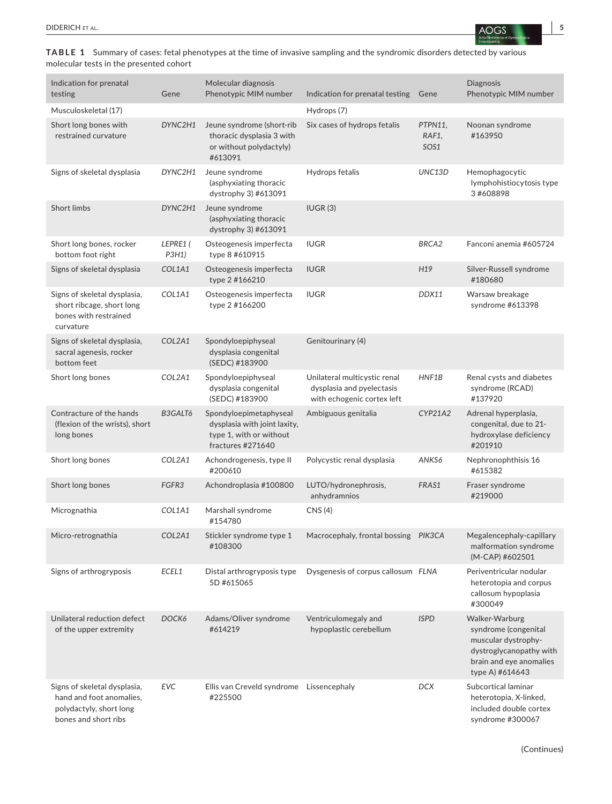molecular tests in the presented cohort

| Indication for prenatal<br>testing                                                                          | Gene              | Molecular diagnosis<br>Phenotypic MIM number                                                           | Indication for prenatal testing                                                         | Gene                     | Diagnosis<br>Phenotypic MIM number                                                                                                     |
|-------------------------------------------------------------------------------------------------------------|-------------------|--------------------------------------------------------------------------------------------------------|-----------------------------------------------------------------------------------------|--------------------------|----------------------------------------------------------------------------------------------------------------------------------------|
| Musculoskeletal (17)                                                                                        |                   |                                                                                                        | Hydrops (7)                                                                             |                          |                                                                                                                                        |
| Short long bones with<br>restrained curvature                                                               | DYNC2H1           | Jeune syndrome (short-rib<br>thoracic dysplasia 3 with<br>or without polydactyly)<br>#613091           | Six cases of hydrops fetalis                                                            | PTPN11,<br>RAF1,<br>SOS1 | Noonan syndrome<br>#163950                                                                                                             |
| Signs of skeletal dysplasia                                                                                 | DYNC2H1           | Jeune syndrome<br>(asphyxiating thoracic<br>dystrophy 3) #613091                                       | Hydrops fetalis                                                                         | UNC13D                   | Hemophagocytic<br>lymphohistiocytosis type<br>3#608898                                                                                 |
| <b>Short limbs</b>                                                                                          | DYNC2H1           | Jeune syndrome<br>(asphyxiating thoracic<br>dystrophy 3) #613091                                       | IUGR(3)                                                                                 |                          |                                                                                                                                        |
| Short long bones, rocker<br>bottom foot right                                                               | LEPRE1 (<br>P3H1) | Osteogenesis imperfecta<br>type 8 #610915                                                              | <b>IUGR</b>                                                                             | BRCA <sub>2</sub>        | Fanconi anemia #605724                                                                                                                 |
| Signs of skeletal dysplasia                                                                                 | COL1A1            | Osteogenesis imperfecta<br>type 2 #166210                                                              | <b>IUGR</b>                                                                             | H19                      | Silver-Russell syndrome<br>#180680                                                                                                     |
| Signs of skeletal dysplasia,<br>short ribcage, short long<br>bones with restrained<br>curvature             | COL1A1            | Osteogenesis imperfecta<br>type 2 #166200                                                              | <b>IUGR</b>                                                                             | DDX11                    | Warsaw breakage<br>syndrome #613398                                                                                                    |
| Signs of skeletal dysplasia,<br>sacral agenesis, rocker<br>bottom feet                                      | COL2A1            | Spondyloepiphyseal<br>dysplasia congenital<br>(SEDC) #183900                                           | Genitourinary (4)                                                                       |                          |                                                                                                                                        |
| Short long bones                                                                                            | COL2A1            | Spondyloepiphyseal<br>dysplasia congenital<br>(SEDC) #183900                                           | Unilateral multicystic renal<br>dysplasia and pyelectasis<br>with echogenic cortex left | HNF1B                    | Renal cysts and diabetes<br>syndrome (RCAD)<br>#137920                                                                                 |
| Contracture of the hands<br>(flexion of the wrists), short<br>long bones                                    | B3GALT6           | Spondyloepimetaphyseal<br>dysplasia with joint laxity,<br>type 1, with or without<br>fractures #271640 | Ambiguous genitalia                                                                     | <b>CYP21A2</b>           | Adrenal hyperplasia,<br>congenital, due to 21-<br>hydroxylase deficiency<br>#201910                                                    |
| Short long bones                                                                                            | COL2A1            | Achondrogenesis, type II<br>#200610                                                                    | Polycystic renal dysplasia                                                              | ANKS6                    | Nephronophthisis 16<br>#615382                                                                                                         |
| Short long bones                                                                                            | FGFR3             | Achondroplasia #100800                                                                                 | LUTO/hydronephrosis,<br>anhydramnios                                                    | FRAS1                    | Fraser syndrome<br>#219000                                                                                                             |
| Micrognathia                                                                                                | COL1A1            | Marshall syndrome<br>#154780                                                                           | CNS(4)                                                                                  |                          |                                                                                                                                        |
| Micro-retrognathia                                                                                          | COL2A1            | Stickler syndrome type 1<br>#108300                                                                    | Macrocephaly, frontal bossing PIK3CA                                                    |                          | Megalencephaly-capillary<br>malformation syndrome<br>(M-CAP) #602501                                                                   |
| Signs of arthrogryposis                                                                                     | ECEL1             | Distal arthrogryposis type<br>5D #615065                                                               | Dysgenesis of corpus callosum FLNA                                                      |                          | Periventricular nodular<br>heterotopia and corpus<br>callosum hypoplasia<br>#300049                                                    |
| Unilateral reduction defect<br>of the upper extremity                                                       | DOCK6             | Adams/Oliver syndrome<br>#614219                                                                       | Ventriculomegaly and<br>hypoplastic cerebellum                                          | <b>ISPD</b>              | Walker-Warburg<br>syndrome (congenital<br>muscular dystrophy-<br>dystroglycanopathy with<br>brain and eye anomalies<br>type A) #614643 |
| Signs of skeletal dysplasia,<br>hand and foot anomalies,<br>polydactyly, short long<br>bones and short ribs | <b>EVC</b>        | Ellis van Creveld syndrome Lissencephaly<br>#225500                                                    |                                                                                         | <b>DCX</b>               | Subcortical laminar<br>heterotopia, X-linked,<br>included double cortex<br>syndrome #300067                                            |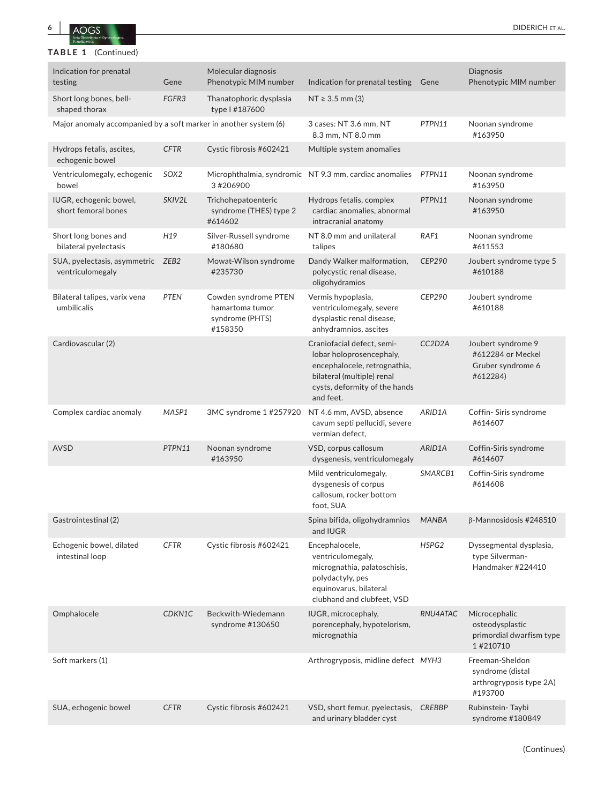

### **TABLE 1** (Continued)

| Indication for prenatal<br>testing                               | Gene              | Molecular diagnosis<br>Phenotypic MIM number                          | Indication for prenatal testing                                                                                                                                    | Gene                             | <b>Diagnosis</b><br>Phenotypic MIM number                                 |
|------------------------------------------------------------------|-------------------|-----------------------------------------------------------------------|--------------------------------------------------------------------------------------------------------------------------------------------------------------------|----------------------------------|---------------------------------------------------------------------------|
| Short long bones, bell-<br>shaped thorax                         | FGFR <sub>3</sub> | Thanatophoric dysplasia<br>type   #187600                             | $NT \ge 3.5$ mm (3)                                                                                                                                                |                                  |                                                                           |
| Major anomaly accompanied by a soft marker in another system (6) |                   |                                                                       | 3 cases: NT 3.6 mm, NT<br>8.3 mm, NT 8.0 mm                                                                                                                        | PTPN11                           | Noonan syndrome<br>#163950                                                |
| Hydrops fetalis, ascites,<br>echogenic bowel                     | <b>CFTR</b>       | Cystic fibrosis #602421                                               | Multiple system anomalies                                                                                                                                          |                                  |                                                                           |
| Ventriculomegaly, echogenic<br>bowel                             | SOX <sub>2</sub>  | 3 #206900                                                             | Microphthalmia, syndromic NT 9.3 mm, cardiac anomalies                                                                                                             | PTPN11                           | Noonan syndrome<br>#163950                                                |
| IUGR, echogenic bowel,<br>short femoral bones                    | SKIV2L            | Trichohepatoenteric<br>syndrome (THES) type 2<br>#614602              | Hydrops fetalis, complex<br>cardiac anomalies, abnormal<br>intracranial anatomy                                                                                    | PTPN11                           | Noonan syndrome<br>#163950                                                |
| Short long bones and<br>bilateral pyelectasis                    | H <sub>19</sub>   | Silver-Russell syndrome<br>#180680                                    | NT 8.0 mm and unilateral<br>talipes                                                                                                                                | RAF1                             | Noonan syndrome<br>#611553                                                |
| SUA, pyelectasis, asymmetric ZEB2<br>ventriculomegaly            |                   | Mowat-Wilson syndrome<br>#235730                                      | Dandy Walker malformation,<br>polycystic renal disease,<br>oligohydramios                                                                                          | <b>CEP290</b>                    | Joubert syndrome type 5<br>#610188                                        |
| Bilateral talipes, varix vena<br>umbilicalis                     | <b>PTEN</b>       | Cowden syndrome PTEN<br>hamartoma tumor<br>syndrome (PHTS)<br>#158350 | Vermis hypoplasia,<br>ventriculomegaly, severe<br>dysplastic renal disease,<br>anhydramnios, ascites                                                               | CEP290                           | Joubert syndrome<br>#610188                                               |
| Cardiovascular (2)                                               |                   |                                                                       | Craniofacial defect, semi-<br>lobar holoprosencephaly,<br>encephalocele, retrognathia,<br>bilateral (multiple) renal<br>cysts, deformity of the hands<br>and feet. | CC <sub>2</sub> D <sub>2</sub> A | Joubert syndrome 9<br>#612284 or Meckel<br>Gruber syndrome 6<br>#612284)  |
| Complex cardiac anomaly                                          | MASP1             | 3MC syndrome 1 #257920                                                | NT 4.6 mm, AVSD, absence<br>cavum septi pellucidi, severe<br>vermian defect,                                                                                       | ARID1A                           | Coffin-Siris syndrome<br>#614607                                          |
| <b>AVSD</b>                                                      | PTPN11            | Noonan syndrome<br>#163950                                            | VSD, corpus callosum<br>dysgenesis, ventriculomegaly                                                                                                               | ARID1A                           | Coffin-Siris syndrome<br>#614607                                          |
|                                                                  |                   |                                                                       | Mild ventriculomegaly,<br>dysgenesis of corpus<br>callosum, rocker bottom<br>foot, SUA                                                                             | SMARCB1                          | Coffin-Siris syndrome<br>#614608                                          |
| Gastrointestinal (2)                                             |                   |                                                                       | Spina bifida, oligohydramnios<br>and IUGR                                                                                                                          | <b>MANBA</b>                     | $\beta$ -Mannosidosis #248510                                             |
| Echogenic bowel, dilated<br>intestinal loop                      | <b>CFTR</b>       | Cystic fibrosis #602421                                               | Encephalocele,<br>ventriculomegaly,<br>micrognathia, palatoschisis,<br>polydactyly, pes<br>equinovarus, bilateral<br>clubhand and clubfeet, VSD                    | HSPG2                            | Dyssegmental dysplasia,<br>type Silverman-<br>Handmaker #224410           |
| Omphalocele                                                      | CDKN1C            | Beckwith-Wiedemann<br>syndrome #130650                                | IUGR, microcephaly,<br>porencephaly, hypotelorism,<br>micrognathia                                                                                                 | RNU4ATAC                         | Microcephalic<br>osteodysplastic<br>primordial dwarfism type<br>1#210710  |
| Soft markers (1)                                                 |                   |                                                                       | Arthrogryposis, midline defect MYH3                                                                                                                                |                                  | Freeman-Sheldon<br>syndrome (distal<br>arthrogryposis type 2A)<br>#193700 |
| SUA, echogenic bowel                                             | <b>CFTR</b>       | Cystic fibrosis #602421                                               | VSD, short femur, pyelectasis,<br>and urinary bladder cyst                                                                                                         | <b>CREBBP</b>                    | Rubinstein-Taybi<br>syndrome #180849                                      |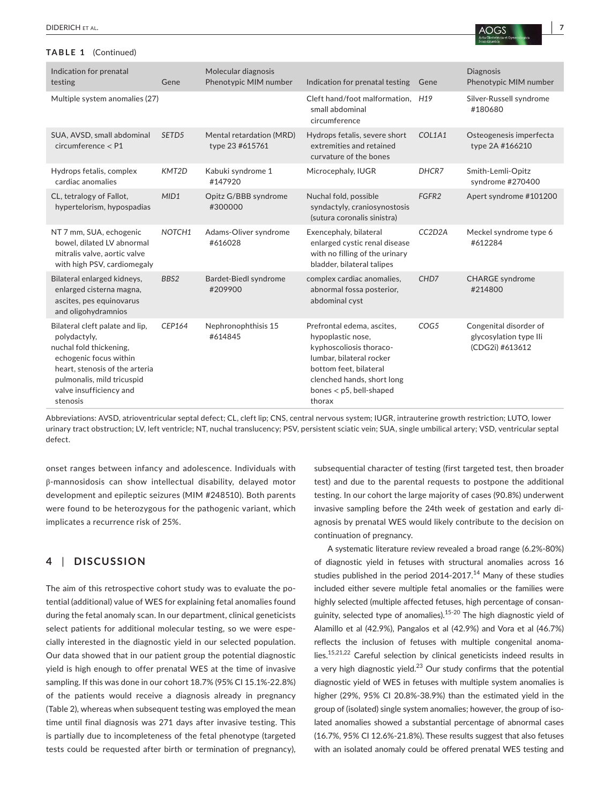#### **TABLE 1** (Continued)

| Indication for prenatal<br>testing                                                                                                                                                                          | Gene   | Molecular diagnosis<br>Phenotypic MIM number | Indication for prenatal testing                                                                                                                                                                       | Gene                             | <b>Diagnosis</b><br>Phenotypic MIM number                           |
|-------------------------------------------------------------------------------------------------------------------------------------------------------------------------------------------------------------|--------|----------------------------------------------|-------------------------------------------------------------------------------------------------------------------------------------------------------------------------------------------------------|----------------------------------|---------------------------------------------------------------------|
| Multiple system anomalies (27)                                                                                                                                                                              |        |                                              | Cleft hand/foot malformation, H19<br>small abdominal<br>circumference                                                                                                                                 |                                  | Silver-Russell syndrome<br>#180680                                  |
| SUA, AVSD, small abdominal<br>circumference < P1                                                                                                                                                            | SETD5  | Mental retardation (MRD)<br>type 23 #615761  | Hydrops fetalis, severe short<br>extremities and retained<br>curvature of the bones                                                                                                                   | COL1A1                           | Osteogenesis imperfecta<br>type 2A #166210                          |
| Hydrops fetalis, complex<br>cardiac anomalies                                                                                                                                                               | KMT2D  | Kabuki syndrome 1<br>#147920                 | Microcephaly, IUGR                                                                                                                                                                                    | DHCR7                            | Smith-Lemli-Opitz<br>syndrome #270400                               |
| CL, tetralogy of Fallot,<br>hypertelorism, hypospadias                                                                                                                                                      | MID1   | Opitz G/BBB syndrome<br>#300000              | Nuchal fold, possible<br>syndactyly, craniosynostosis<br>(sutura coronalis sinistra)                                                                                                                  | FGFR <sub>2</sub>                | Apert syndrome #101200                                              |
| NT 7 mm, SUA, echogenic<br>bowel, dilated LV abnormal<br>mitralis valve, aortic valve<br>with high PSV, cardiomegaly                                                                                        | NOTCH1 | Adams-Oliver syndrome<br>#616028             | Exencephaly, bilateral<br>enlarged cystic renal disease<br>with no filling of the urinary<br>bladder, bilateral talipes                                                                               | CC <sub>2</sub> D <sub>2</sub> A | Meckel syndrome type 6<br>#612284                                   |
| Bilateral enlarged kidneys,<br>enlarged cisterna magna,<br>ascites, pes equinovarus<br>and oligohydramnios                                                                                                  | BBS2   | Bardet-Biedl syndrome<br>#209900             | complex cardiac anomalies,<br>abnormal fossa posterior,<br>abdominal cyst                                                                                                                             | CHD7                             | <b>CHARGE</b> syndrome<br>#214800                                   |
| Bilateral cleft palate and lip,<br>polydactyly,<br>nuchal fold thickening,<br>echogenic focus within<br>heart, stenosis of the arteria<br>pulmonalis, mild tricuspid<br>valve insufficiency and<br>stenosis | CEP164 | Nephronophthisis 15<br>#614845               | Prefrontal edema, ascites,<br>hypoplastic nose,<br>kyphoscoliosis thoraco-<br>lumbar, bilateral rocker<br>bottom feet, bilateral<br>clenched hands, short long<br>bones $<$ p5, bell-shaped<br>thorax | COG5                             | Congenital disorder of<br>glycosylation type Ili<br>(CDG2i) #613612 |

Abbreviations: AVSD, atrioventricular septal defect; CL, cleft lip; CNS, central nervous system; IUGR, intrauterine growth restriction; LUTO, lower urinary tract obstruction; LV, left ventricle; NT, nuchal translucency; PSV, persistent sciatic vein; SUA, single umbilical artery; VSD, ventricular septal defect.

onset ranges between infancy and adolescence. Individuals with β-mannosidosis can show intellectual disability, delayed motor development and epileptic seizures (MIM #248510). Both parents were found to be heterozygous for the pathogenic variant, which implicates a recurrence risk of 25%.

### **4** | **DISCUSSION**

The aim of this retrospective cohort study was to evaluate the potential (additional) value of WES for explaining fetal anomalies found during the fetal anomaly scan. In our department, clinical geneticists select patients for additional molecular testing, so we were especially interested in the diagnostic yield in our selected population. Our data showed that in our patient group the potential diagnostic yield is high enough to offer prenatal WES at the time of invasive sampling. If this was done in our cohort 18.7% (95% CI 15.1%-22.8%) of the patients would receive a diagnosis already in pregnancy (Table 2), whereas when subsequent testing was employed the mean time until final diagnosis was 271 days after invasive testing. This is partially due to incompleteness of the fetal phenotype (targeted tests could be requested after birth or termination of pregnancy),

subsequential character of testing (first targeted test, then broader test) and due to the parental requests to postpone the additional testing. In our cohort the large majority of cases (90.8%) underwent invasive sampling before the 24th week of gestation and early diagnosis by prenatal WES would likely contribute to the decision on continuation of pregnancy.

A systematic literature review revealed a broad range (6.2%-80%) of diagnostic yield in fetuses with structural anomalies across 16 studies published in the period 2014-2017.<sup>14</sup> Many of these studies included either severe multiple fetal anomalies or the families were highly selected (multiple affected fetuses, high percentage of consanguinity, selected type of anomalies).15-20 The high diagnostic yield of Alamillo et al (42.9%), Pangalos et al (42.9%) and Vora et al (46.7%) reflects the inclusion of fetuses with multiple congenital anomalies.15,21,22 Careful selection by clinical geneticists indeed results in a very high diagnostic yield. $^{23}$  Our study confirms that the potential diagnostic yield of WES in fetuses with multiple system anomalies is higher (29%, 95% CI 20.8%-38.9%) than the estimated yield in the group of (isolated) single system anomalies; however, the group of isolated anomalies showed a substantial percentage of abnormal cases (16.7%, 95% CI 12.6%-21.8%). These results suggest that also fetuses with an isolated anomaly could be offered prenatal WES testing and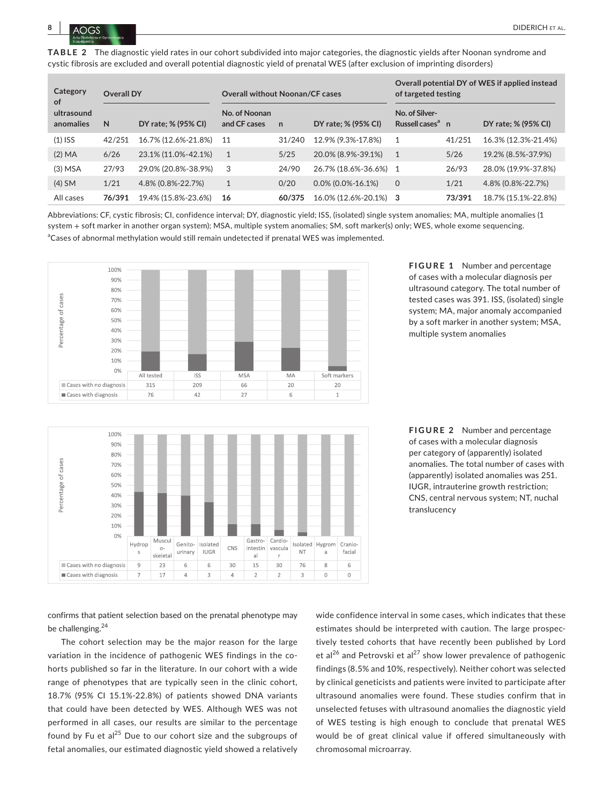

**TABLE 2** The diagnostic yield rates in our cohort subdivided into major categories, the diagnostic yields after Noonan syndrome and cystic fibrosis are excluded and overall potential diagnostic yield of prenatal WES (after exclusion of imprinting disorders)

| Category<br>of<br>ultrasound<br>anomalies | <b>Overall DY</b> |                     | <b>Overall without Noonan/CF cases</b> |              |                       | Overall potential DY of WES if applied instead<br>of targeted testing |        |                     |
|-------------------------------------------|-------------------|---------------------|----------------------------------------|--------------|-----------------------|-----------------------------------------------------------------------|--------|---------------------|
|                                           | N                 | DY rate; % (95% CI) | No. of Noonan<br>and CF cases          | $\mathsf{n}$ | DY rate; % (95% CI)   | No. of Silver-<br>Russell cases <sup>a</sup> n                        |        | DY rate; % (95% CI) |
| $(1)$ ISS                                 | 42/251            | 16.7% (12.6%-21.8%) | -11                                    | 31/240       | 12.9% (9.3%-17.8%)    |                                                                       | 41/251 | 16.3% (12.3%-21.4%) |
| (2) MA                                    | 6/26              | 23.1% (11.0%-42.1%) | 1                                      | 5/25         | 20.0% (8.9%-39.1%)    |                                                                       | 5/26   | 19.2% (8.5%-37.9%)  |
| $(3)$ MSA                                 | 27/93             | 29.0% (20.8%-38.9%) | 3                                      | 24/90        | 26.7% (18.6%-36.6%) 1 |                                                                       | 26/93  | 28.0% (19.9%-37.8%) |
| $(4)$ SM                                  | 1/21              | 4.8% (0.8%-22.7%)   | $\mathbf{1}$                           | 0/20         | $0.0\%$ (0.0%-16.1%)  | $\mathbf 0$                                                           | 1/21   | 4.8% (0.8%-22.7%)   |
| All cases                                 | 76/391            | 19.4% (15.8%-23.6%) | 16                                     | 60/375       | 16.0% (12.6%-20.1%) 3 |                                                                       | 73/391 | 18.7% (15.1%-22.8%) |

Abbreviations: CF, cystic fibrosis; CI, confidence interval; DY, diagnostic yield; ISS, (isolated) single system anomalies; MA, multiple anomalies (1 system + soft marker in another organ system); MSA, multiple system anomalies; SM, soft marker(s) only; WES, whole exome sequencing. <sup>a</sup>Cases of abnormal methylation would still remain undetected if prenatal WES was implemented.



**FIGURE 1** Number and percentage of cases with a molecular diagnosis per ultrasound category. The total number of tested cases was 391. ISS, (isolated) single system; MA, major anomaly accompanied by a soft marker in another system; MSA, multiple system anomalies





confirms that patient selection based on the prenatal phenotype may be challenging.<sup>24</sup>

The cohort selection may be the major reason for the large variation in the incidence of pathogenic WES findings in the cohorts published so far in the literature. In our cohort with a wide range of phenotypes that are typically seen in the clinic cohort, 18.7% (95% CI 15.1%-22.8%) of patients showed DNA variants that could have been detected by WES. Although WES was not performed in all cases, our results are similar to the percentage found by Fu et al $^{25}$  Due to our cohort size and the subgroups of fetal anomalies, our estimated diagnostic yield showed a relatively

wide confidence interval in some cases, which indicates that these estimates should be interpreted with caution. The large prospectively tested cohorts that have recently been published by Lord et al<sup>26</sup> and Petrovski et al<sup>27</sup> show lower prevalence of pathogenic findings (8.5% and 10%, respectively). Neither cohort was selected by clinical geneticists and patients were invited to participate after ultrasound anomalies were found. These studies confirm that in unselected fetuses with ultrasound anomalies the diagnostic yield of WES testing is high enough to conclude that prenatal WES would be of great clinical value if offered simultaneously with chromosomal microarray.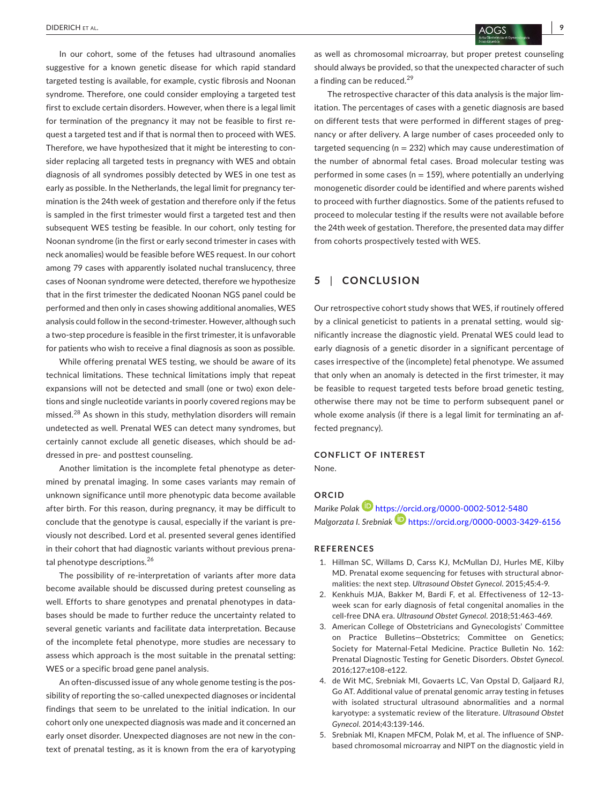In our cohort, some of the fetuses had ultrasound anomalies suggestive for a known genetic disease for which rapid standard targeted testing is available, for example, cystic fibrosis and Noonan syndrome. Therefore, one could consider employing a targeted test first to exclude certain disorders. However, when there is a legal limit for termination of the pregnancy it may not be feasible to first request a targeted test and if that is normal then to proceed with WES. Therefore, we have hypothesized that it might be interesting to consider replacing all targeted tests in pregnancy with WES and obtain diagnosis of all syndromes possibly detected by WES in one test as early as possible. In the Netherlands, the legal limit for pregnancy termination is the 24th week of gestation and therefore only if the fetus is sampled in the first trimester would first a targeted test and then subsequent WES testing be feasible. In our cohort, only testing for Noonan syndrome (in the first or early second trimester in cases with neck anomalies) would be feasible before WES request. In our cohort among 79 cases with apparently isolated nuchal translucency, three cases of Noonan syndrome were detected, therefore we hypothesize that in the first trimester the dedicated Noonan NGS panel could be performed and then only in cases showing additional anomalies, WES analysis could follow in the second-trimester. However, although such a two-step procedure is feasible in the first trimester, it is unfavorable for patients who wish to receive a final diagnosis as soon as possible.

While offering prenatal WES testing, we should be aware of its technical limitations. These technical limitations imply that repeat expansions will not be detected and small (one or two) exon deletions and single nucleotide variants in poorly covered regions may be missed.28 As shown in this study, methylation disorders will remain undetected as well. Prenatal WES can detect many syndromes, but certainly cannot exclude all genetic diseases, which should be addressed in pre- and posttest counseling.

Another limitation is the incomplete fetal phenotype as determined by prenatal imaging. In some cases variants may remain of unknown significance until more phenotypic data become available after birth. For this reason, during pregnancy, it may be difficult to conclude that the genotype is causal, especially if the variant is previously not described. Lord et al. presented several genes identified in their cohort that had diagnostic variants without previous prenatal phenotype descriptions.<sup>26</sup>

The possibility of re-interpretation of variants after more data become available should be discussed during pretest counseling as well. Efforts to share genotypes and prenatal phenotypes in databases should be made to further reduce the uncertainty related to several genetic variants and facilitate data interpretation. Because of the incomplete fetal phenotype, more studies are necessary to assess which approach is the most suitable in the prenatal setting: WES or a specific broad gene panel analysis.

An often-discussed issue of any whole genome testing is the possibility of reporting the so-called unexpected diagnoses or incidental findings that seem to be unrelated to the initial indication. In our cohort only one unexpected diagnosis was made and it concerned an early onset disorder. Unexpected diagnoses are not new in the context of prenatal testing, as it is known from the era of karyotyping

as well as chromosomal microarray, but proper pretest counseling should always be provided, so that the unexpected character of such a finding can be reduced.<sup>29</sup>

The retrospective character of this data analysis is the major limitation. The percentages of cases with a genetic diagnosis are based on different tests that were performed in different stages of pregnancy or after delivery. A large number of cases proceeded only to targeted sequencing ( $n = 232$ ) which may cause underestimation of the number of abnormal fetal cases. Broad molecular testing was performed in some cases ( $n = 159$ ), where potentially an underlying monogenetic disorder could be identified and where parents wished to proceed with further diagnostics. Some of the patients refused to proceed to molecular testing if the results were not available before the 24th week of gestation. Therefore, the presented data may differ from cohorts prospectively tested with WES.

#### **5** | **CONCLUSION**

Our retrospective cohort study shows that WES, if routinely offered by a clinical geneticist to patients in a prenatal setting, would significantly increase the diagnostic yield. Prenatal WES could lead to early diagnosis of a genetic disorder in a significant percentage of cases irrespective of the (incomplete) fetal phenotype. We assumed that only when an anomaly is detected in the first trimester, it may be feasible to request targeted tests before broad genetic testing, otherwise there may not be time to perform subsequent panel or whole exome analysis (if there is a legal limit for terminating an affected pregnancy).

## **CONFLICT OF INTEREST**

None.

#### **ORCID**

*Marike Polak* <https://orcid.org/0000-0002-5012-5480> *Malgorzata I. Srebniak* <https://orcid.org/0000-0003-3429-6156>

#### **REFERENCES**

- 1. Hillman SC, Willams D, Carss KJ, McMullan DJ, Hurles ME, Kilby MD. Prenatal exome sequencing for fetuses with structural abnormalities: the next step. *Ultrasound Obstet Gynecol*. 2015;45:4-9.
- 2. Kenkhuis MJA, Bakker M, Bardi F, et al. Effectiveness of 12–13 week scan for early diagnosis of fetal congenital anomalies in the cell-free DNA era. *Ultrasound Obstet Gynecol*. 2018;51:463-469.
- 3. American College of Obstetricians and Gynecologists' Committee on Practice Bulletins—Obstetrics; Committee on Genetics; Society for Maternal-Fetal Medicine. Practice Bulletin No. 162: Prenatal Diagnostic Testing for Genetic Disorders. *Obstet Gynecol*. 2016;127:e108-e122.
- 4. de Wit MC, Srebniak MI, Govaerts LC, Van Opstal D, Galjaard RJ, Go AT. Additional value of prenatal genomic array testing in fetuses with isolated structural ultrasound abnormalities and a normal karyotype: a systematic review of the literature. *Ultrasound Obstet Gynecol*. 2014;43:139-146.
- 5. Srebniak MI, Knapen MFCM, Polak M, et al. The influence of SNPbased chromosomal microarray and NIPT on the diagnostic yield in